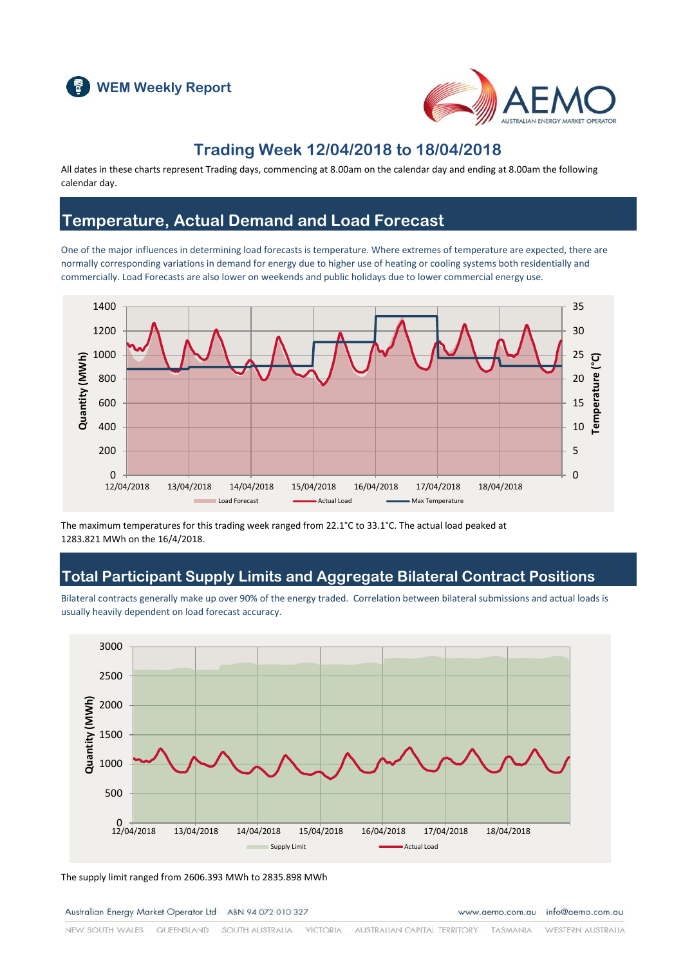



### **Trading Week 12/04/2018 to 18/04/2018**

All dates in these charts represent Trading days, commencing at 8.00am on the calendar day and ending at 8.00am the following calendar day.

### **Temperature, Actual Demand and Load Forecast**

One of the major influences in determining load forecasts is temperature. Where extremes of temperature are expected, there are normally corresponding variations in demand for energy due to higher use of heating or cooling systems both residentially and commercially. Load Forecasts are also lower on weekends and public holidays due to lower commercial energy use.



The maximum temperatures for this trading week ranged from 22.1°C to 33.1°C. The actual load peaked at 1283.821 MWh on the 16/4/2018.

### **Total Participant Supply Limits and Aggregate Bilateral Contract Positions**

Bilateral contracts generally make up over 90% of the energy traded. Correlation between bilateral submissions and actual loads is usually heavily dependent on load forecast accuracy.



The supply limit ranged from 2606.393 MWh to 2835.898 MWh

Australian Energy Market Operator Ltd ABN 94 072 010 327

www.aemo.com.au info@aemo.com.au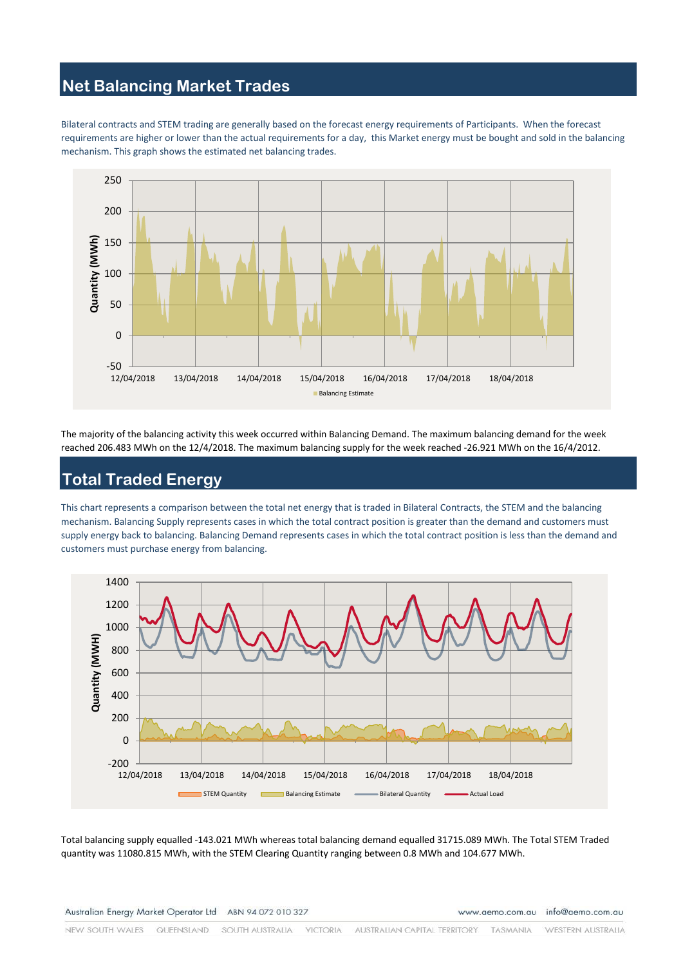# **Net Balancing Market Trades**

Bilateral contracts and STEM trading are generally based on the forecast energy requirements of Participants. When the forecast requirements are higher or lower than the actual requirements for a day, this Market energy must be bought and sold in the balancing mechanism. This graph shows the estimated net balancing trades.



The majority of the balancing activity this week occurred within Balancing Demand. The maximum balancing demand for the week reached 206.483 MWh on the 12/4/2018. The maximum balancing supply for the week reached -26.921 MWh on the 16/4/2012.

### **Total Traded Energy**

This chart represents a comparison between the total net energy that is traded in Bilateral Contracts, the STEM and the balancing mechanism. Balancing Supply represents cases in which the total contract position is greater than the demand and customers must supply energy back to balancing. Balancing Demand represents cases in which the total contract position is less than the demand and customers must purchase energy from balancing.



Total balancing supply equalled -143.021 MWh whereas total balancing demand equalled 31715.089 MWh. The Total STEM Traded quantity was 11080.815 MWh, with the STEM Clearing Quantity ranging between 0.8 MWh and 104.677 MWh.

www.aemo.com.au info@aemo.com.au